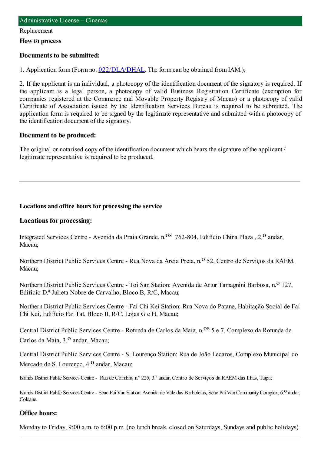#### Replacement

**How to process**

#### **Documents to be submitted:**

1. Application form (Form no. [022/DLA/DHAL](https://www.iam.gov.mo/c/pdf/eformDetail/PDF1013). The form can be obtained from IAM.);

2. If the applicant is an individual, a photocopy of the identification document of the signatory is required. If the applicant is a legal person, a photocopy of valid Business Registration Certificate (exemption for companies registered at the Commerce and Movable Property Registry of Macao) or a photocopy of valid Certificate of Association issued by the Identification Services Bureau is required to be submitted. The application form is required to be signed by the legitimate representative and submitted with a photocopy of the identification document of the signatory.

#### **Document to be produced:**

The original or notarised copy of the identification document which bears the signature of the applicant / legitimate representative is required to be produced.

### **Locations and office hours for processing the service**

#### **Locations for processing:**

Integrated Services Centre - Avenida da Praia Grande, n.<sup>08</sup> 762-804, Edifício China Plaza, 2.<sup>0</sup> andar, Macau;

Northern District Public Services Centre - Rua Nova da Areia Preta, n.<sup>o</sup> 52, Centro de Serviços da RAEM, Macau;

Northern District Public Services Centre - Toi San Station: Avenida de Artur Tamagnini Barbosa, n.º 127, Edifício D.ª Julieta Nobre de Carvalho, Bloco B, R/C, Macau;

Northern District Public Services Centre - Fai Chi Kei Station: Rua Nova do Patane, Habitação Social de Fai Chi Kei, Edifício Fai Tat, Bloco II, R/C, Lojas G e H, Macau;

Central District Public Services Centre - Rotunda de Carlos da Maia, n.<sup>08</sup> 5 e 7, Complexo da Rotunda de Carlos da Maia, 3.º andar, Macau:

Central District Public Services Centre - S. Lourenço Station: Rua de João Lecaros, Complexo Municipal do Mercado de S. Lourenco,  $4<sup>0</sup>$  andar, Macau;

Islands District Public Services Centre- Rua de Coimbra, n.º 225, 3.˚andar, Centro de Serviços da RAEM das Ilhas, Taipa;

Islands District Public Services Centre - Seac Pai Van Station: Avenida de Vale das Borboletas, Seac Pai Van Community Complex, 6.<sup>0</sup> andar, Coloane.

#### **Office hours:**

Monday to Friday, 9:00 a.m. to 6:00 p.m. (no lunch break, closed on Saturdays, Sundays and public holidays)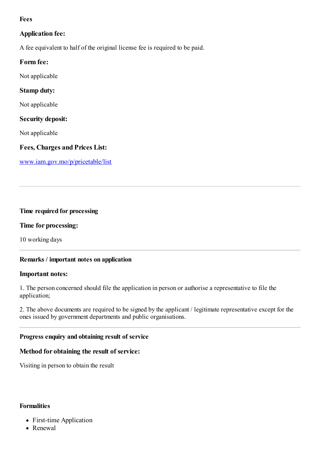## **Fees**

# **Application fee:**

A fee equivalent to half of the original license fee is required to be paid.

## **Form fee:**

Not applicable

## **Stamp duty:**

Not applicable

### **Security deposit:**

Not applicable

## **Fees, Charges and Prices List:**

[www.iam.gov.mo/p/pricetable/list](http://www.iam.gov.mo/p/pricetable/list)

### **Time required for processing**

### **Time for processing:**

10 working days

### **Remarks / important notes on application**

#### **Important notes:**

1. The person concerned should file the application in person or authorise a representative to file the application;

2. The above documents are required to be signed by the applicant / legitimate representative except for the ones issued by government departments and public organisations.

### **Progress enquiry and obtaining result of service**

### **Method for obtaining the result of service:**

Visiting in person to obtain the result

### **Formalities**

- First-time Application
- Renewal